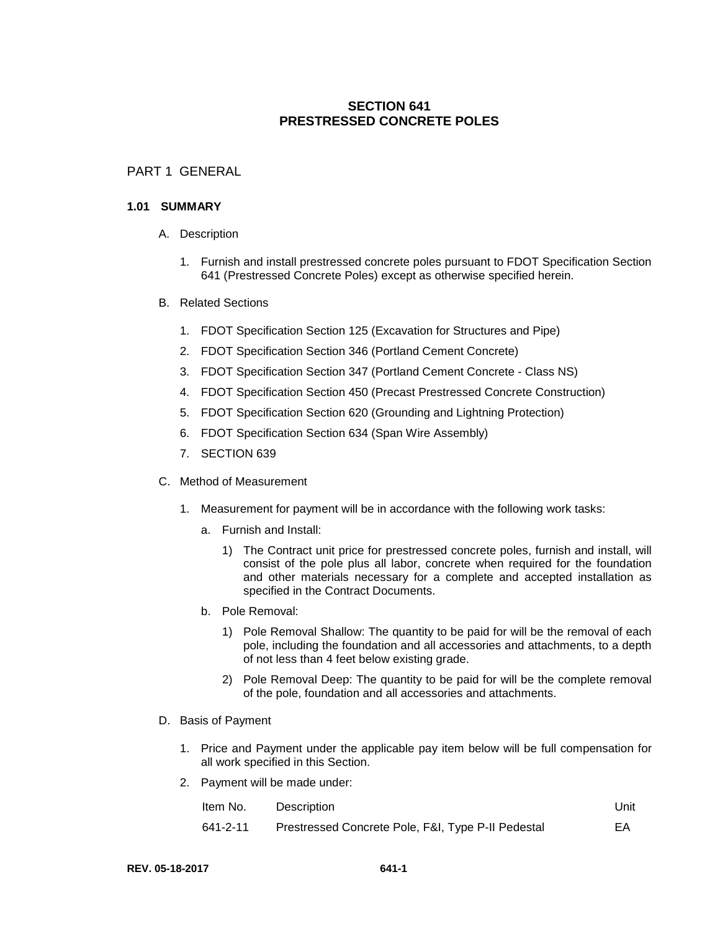# **SECTION 641 PRESTRESSED CONCRETE POLES**

## PART 1 GENERAL

#### **1.01 SUMMARY**

- A. Description
	- 1. Furnish and install prestressed concrete poles pursuant to FDOT Specification Section 641 (Prestressed Concrete Poles) except as otherwise specified herein.
- B. Related Sections
	- 1. FDOT Specification Section 125 (Excavation for Structures and Pipe)
	- 2. FDOT Specification Section 346 (Portland Cement Concrete)
	- 3. FDOT Specification Section 347 (Portland Cement Concrete Class NS)
	- 4. FDOT Specification Section 450 (Precast Prestressed Concrete Construction)
	- 5. FDOT Specification Section 620 (Grounding and Lightning Protection)
	- 6. FDOT Specification Section 634 (Span Wire Assembly)
	- 7. SECTION 639
- C. Method of Measurement
	- 1. Measurement for payment will be in accordance with the following work tasks:
		- a. Furnish and Install:
			- 1) The Contract unit price for prestressed concrete poles, furnish and install, will consist of the pole plus all labor, concrete when required for the foundation and other materials necessary for a complete and accepted installation as specified in the Contract Documents.
		- b. Pole Removal:
			- 1) Pole Removal Shallow: The quantity to be paid for will be the removal of each pole, including the foundation and all accessories and attachments, to a depth of not less than 4 feet below existing grade.
			- 2) Pole Removal Deep: The quantity to be paid for will be the complete removal of the pole, foundation and all accessories and attachments.
- D. Basis of Payment
	- 1. Price and Payment under the applicable pay item below will be full compensation for all work specified in this Section.
	- 2. Payment will be made under:

| Item No. | Description                                        | Unit |
|----------|----------------------------------------------------|------|
| 641-2-11 | Prestressed Concrete Pole, F&I, Type P-II Pedestal | EA   |